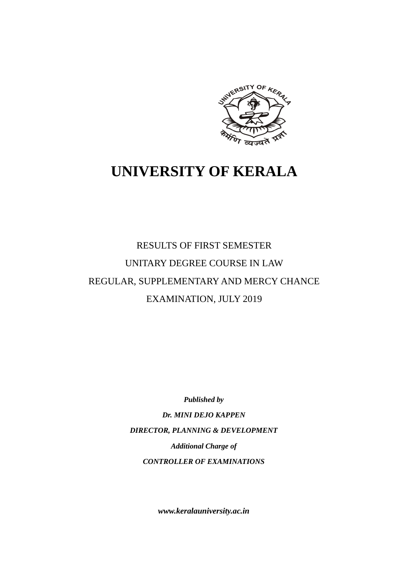

# **UNIVERSITY OF KERALA**

# RESULTS OF FIRST SEMESTER UNITARY DEGREE COURSE IN LAW REGULAR, SUPPLEMENTARY AND MERCY CHANCE EXAMINATION, JULY 2019

*Published by Dr. MINI DEJO KAPPEN DIRECTOR, PLANNING & DEVELOPMENT Additional Charge of CONTROLLER OF EXAMINATIONS*

*www.keralauniversity.ac.in*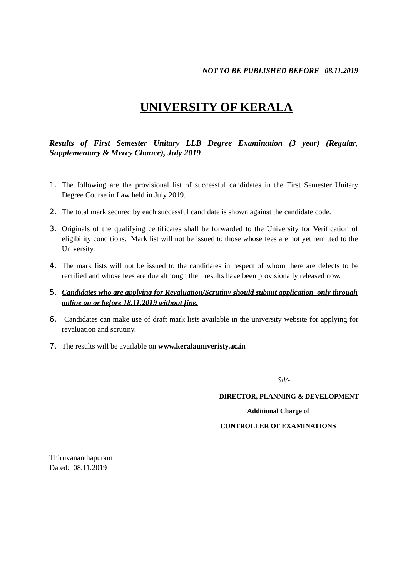# **UNIVERSITY OF KERALA**

*Results of First Semester Unitary LLB Degree Examination (3 year) (Regular, Supplementary & Mercy Chance), July 2019*

- 1. The following are the provisional list of successful candidates in the First Semester Unitary Degree Course in Law held in July 2019.
- 2. The total mark secured by each successful candidate is shown against the candidate code.
- 3. Originals of the qualifying certificates shall be forwarded to the University for Verification of eligibility conditions. Mark list will not be issued to those whose fees are not yet remitted to the University.
- 4. The mark lists will not be issued to the candidates in respect of whom there are defects to be rectified and whose fees are due although their results have been provisionally released now.
- 5. *Candidates who are applying for Revaluation/Scrutiny should submit application only through online on or before 18.11.2019 without fine.*
- 6. Candidates can make use of draft mark lists available in the university website for applying for revaluation and scrutiny.
- 7. The results will be available on **www.keralauniveristy.ac.in**

*Sd/-*

**DIRECTOR, PLANNING & DEVELOPMENT**

**Additional Charge of**

#### **CONTROLLER OF EXAMINATIONS**

Thiruvananthapuram Dated: 08.11.2019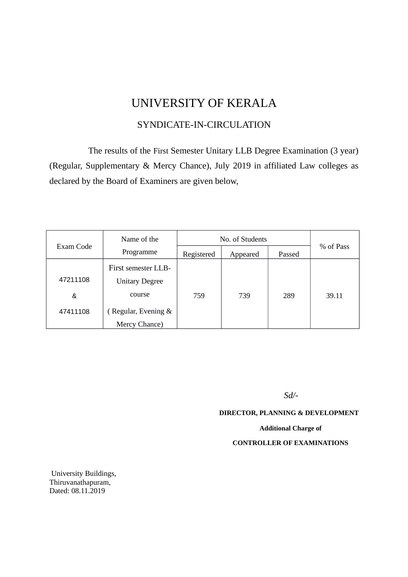# UNIVERSITY OF KERALA

## SYNDICATE-IN-CIRCULATION

The results of the First Semester Unitary LLB Degree Examination (3 year) (Regular, Supplementary & Mercy Chance), July 2019 in affiliated Law colleges as declared by the Board of Examiners are given below,

|           | Name of the           | No. of Students |          |        |           |
|-----------|-----------------------|-----------------|----------|--------|-----------|
| Exam Code | Programme             | Registered      | Appeared | Passed | % of Pass |
|           | First semester LLB-   |                 |          |        |           |
| 47211108  | <b>Unitary Degree</b> |                 |          |        |           |
| &         | course                | 759             | 739      | 289    | 39.11     |
| 47411108  | (Regular, Evening &   |                 |          |        |           |
|           | Mercy Chance)         |                 |          |        |           |

*Sd/-*

**DIRECTOR, PLANNING & DEVELOPMENT**

#### **Additional Charge of**

#### **CONTROLLER OF EXAMINATIONS**

 University Buildings, Thiruvanathapuram, Dated: 08.11.2019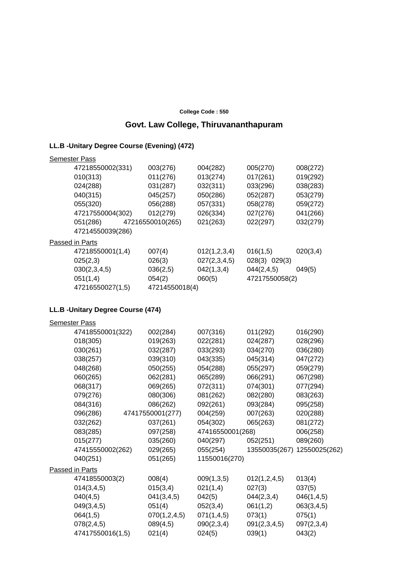#### **College Code : 550**

### **Govt. Law College, Thiruvananthapuram**

#### **LL.B -Unitary Degree Course (Evening) (472)**

| <b>Semester Pass</b> |                  |              |                |          |
|----------------------|------------------|--------------|----------------|----------|
| 47218550002(331)     | 003(276)         | 004(282)     | 005(270)       | 008(272) |
| 010(313)             | 011(276)         | 013(274)     | 017(261)       | 019(292) |
| 024(288)             | 031(287)         | 032(311)     | 033(296)       | 038(283) |
| 040(315)             | 045(257)         | 050(286)     | 052(287)       | 053(279) |
| 055(320)             | 056(288)         | 057(331)     | 058(278)       | 059(272) |
| 47217550004(302)     | 012(279)         | 026(334)     | 027(276)       | 041(266) |
| 051(286)             | 47216550010(265) | 021(263)     | 022(297)       | 032(279) |
| 47214550039(286)     |                  |              |                |          |
| Passed in Parts      |                  |              |                |          |
| 47218550001(1,4)     | 007(4)           | 012(1,2,3,4) | 016(1,5)       | 020(3,4) |
| 025(2,3)             | 026(3)           | 027(2,3,4,5) | 028(3) 029(3)  |          |
| 030(2,3,4,5)         | 036(2,5)         | 042(1,3,4)   | 044(2, 4, 5)   | 049(5)   |
| 051(1,4)             | 054(2)           | 060(5)       | 47217550058(2) |          |
| 47216550027(1,5)     | 47214550018(4)   |              |                |          |

### **LL.B -Unitary Degree Course (474)**

| <b>Semester Pass</b> |                  |              |                  |                             |            |
|----------------------|------------------|--------------|------------------|-----------------------------|------------|
| 47418550001(322)     |                  | 002(284)     | 007(316)         | 011(292)                    | 016(290)   |
| 018(305)             |                  | 019(263)     | 022(281)         | 024(287)                    | 028(296)   |
| 030(261)             |                  | 032(287)     | 033(293)         | 034(270)                    | 036(280)   |
| 038(257)             |                  | 039(310)     | 043(335)         | 045(314)                    | 047(272)   |
| 048(268)             |                  | 050(255)     | 054(288)         | 055(297)                    | 059(279)   |
| 060(265)             |                  | 062(281)     | 065(289)         | 066(291)                    | 067(298)   |
| 068(317)             |                  | 069(265)     | 072(311)         | 074(301)                    | 077(294)   |
| 079(276)             |                  | 080(306)     | 081(262)         | 082(280)                    | 083(263)   |
| 084(316)             |                  | 086(262)     | 092(261)         | 093(284)                    | 095(258)   |
| 096(286)             | 47417550001(277) |              | 004(259)         | 007(263)                    | 020(288)   |
| 032(262)             |                  | 037(261)     | 054(302)         | 065(263)                    | 081(272)   |
| 083(285)             |                  | 097(258)     | 47416550001(268) |                             | 006(258)   |
| 015(277)             |                  | 035(260)     | 040(297)         | 052(251)                    | 089(260)   |
| 47415550002(262)     |                  | 029(265)     | 055(254)         | 13550035(267) 12550025(262) |            |
| 040(251)             |                  | 051(265)     | 11550016(270)    |                             |            |
| Passed in Parts      |                  |              |                  |                             |            |
| 47418550003(2)       |                  | 008(4)       | 009(1,3,5)       | 012(1,2,4,5)                | 013(4)     |
| 014(3, 4, 5)         |                  | 015(3,4)     | 021(1,4)         | 027(3)                      | 037(5)     |
| 040(4,5)             |                  | 041(3,4,5)   | 042(5)           | 044(2,3,4)                  | 046(1,4,5) |
| 049(3,4,5)           |                  | 051(4)       | 052(3,4)         | 061(1,2)                    | 063(3,4,5) |
| 064(1,5)             |                  | 070(1,2,4,5) | 071(1,4,5)       | 073(1)                      | 075(1)     |
| 078(2,4,5)           |                  | 089(4,5)     | 090(2,3,4)       | 091(2,3,4,5)                | 097(2,3,4) |
| 47417550016(1,5)     |                  | 021(4)       | 024(5)           | 039(1)                      | 043(2)     |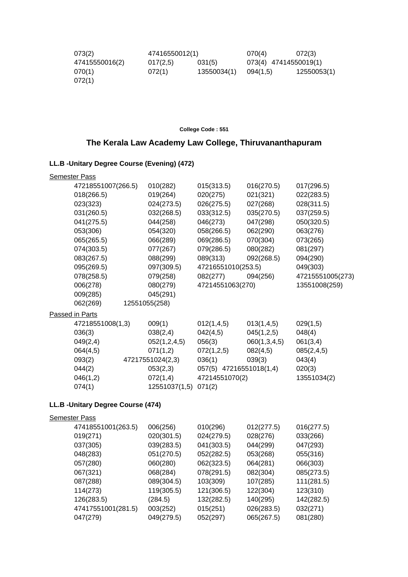| 073(2)         | 47416550012(1) |             | 070(4)                | 072(3)      |
|----------------|----------------|-------------|-----------------------|-------------|
| 47415550016(2) | 017(2,5)       | 031(5)      | 073(4) 47414550019(1) |             |
| 070(1)         | 072(1)         | 13550034(1) | 094(1.5)              | 12550053(1) |
| 072(1)         |                |             |                       |             |

**College Code : 551**

# **The Kerala Law Academy Law College, Thiruvananthapuram**

### **LL.B -Unitary Degree Course (Evening) (472)**

| <b>Semester Pass</b> |                      |                    |                         |                  |
|----------------------|----------------------|--------------------|-------------------------|------------------|
| 47218551007(266.5)   | 010(282)             | 015(313.5)         | 016(270.5)              | 017(296.5)       |
| 018(266.5)           | 019(264)             | 020(275)           | 021(321)                | 022(283.5)       |
| 023(323)             | 024(273.5)           | 026(275.5)         | 027(268)                | 028(311.5)       |
| 031(260.5)           | 032(268.5)           | 033(312.5)         | 035(270.5)              | 037(259.5)       |
| 041(275.5)           | 044(258)             | 046(273)           | 047(298)                | 050(320.5)       |
| 053(306)             | 054(320)             | 058(266.5)         | 062(290)                | 063(276)         |
| 065(265.5)           | 066(289)             | 069(286.5)         | 070(304)                | 073(265)         |
| 074(303.5)           | 077(267)             | 079(286.5)         | 080(282)                | 081(297)         |
| 083(267.5)           | 088(299)             | 089(313)           | 092(268.5)              | 094(290)         |
| 095(269.5)           | 097(309.5)           | 47216551010(253.5) |                         | 049(303)         |
| 078(258.5)           | 079(258)             | 082(277)           | 094(256)                | 47215551005(273) |
| 006(278)             | 080(279)             | 47214551063(270)   |                         | 13551008(259)    |
| 009(285)             | 045(291)             |                    |                         |                  |
| 062(269)             | 12551055(258)        |                    |                         |                  |
| Passed in Parts      |                      |                    |                         |                  |
| 47218551008(1,3)     | 009(1)               | 012(1,4,5)         | 013(1,4,5)              | 029(1,5)         |
| 036(3)               | 038(2,4)             | 042(4,5)           | 045(1,2,5)              | 048(4)           |
| 049(2,4)             | 052(1,2,4,5)         | 056(3)             | 060(1,3,4,5)            | 061(3,4)         |
| 064(4,5)             | 071(1,2)             | 072(1,2,5)         | 082(4,5)                | 085(2,4,5)       |
| 093(2)               | 47217551024(2,3)     | 036(1)             | 039(3)                  | 043(4)           |
| 044(2)               | 053(2,3)             |                    | 057(5) 47216551018(1,4) | 020(3)           |
| 046(1,2)             | 072(1,4)             | 47214551070(2)     |                         | 13551034(2)      |
| 074(1)               | 12551037(1,5) 071(2) |                    |                         |                  |
|                      |                      |                    |                         |                  |

# **LL.B -Unitary Degree Course (474)**

| <b>Semester Pass</b> |                    |            |            |            |            |
|----------------------|--------------------|------------|------------|------------|------------|
|                      | 47418551001(263.5) | 006(256)   | 010(296)   | 012(277.5) | 016(277.5) |
|                      | 019(271)           | 020(301.5) | 024(279.5) | 028(276)   | 033(266)   |
|                      | 037(305)           | 039(283.5) | 041(303.5) | 044(299)   | 047(293)   |
|                      | 048(283)           | 051(270.5) | 052(282.5) | 053(268)   | 055(316)   |
|                      | 057(280)           | 060(280)   | 062(323.5) | 064(281)   | 066(303)   |
|                      | 067(321)           | 068(284)   | 078(291.5) | 082(304)   | 085(273.5) |
|                      | 087(288)           | 089(304.5) | 103(309)   | 107(285)   | 111(281.5) |
|                      | 114(273)           | 119(305.5) | 121(306.5) | 122(304)   | 123(310)   |
|                      | 126(283.5)         | (284.5)    | 132(282.5) | 140(295)   | 142(282.5) |
|                      | 47417551001(281.5) | 003(252)   | 015(251)   | 026(283.5) | 032(271)   |
|                      | 047(279)           | 049(279.5) | 052(297)   | 065(267.5) | 081(280)   |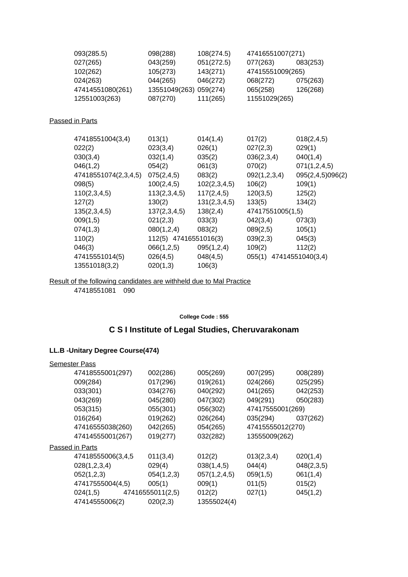| 093(285.5)           | 098(288)               | 108(274.5)   | 47416551007(271)        |                  |
|----------------------|------------------------|--------------|-------------------------|------------------|
| 027(265)             | 043(259)               | 051(272.5)   | 077(263)                | 083(253)         |
| 102(262)             | 105(273)               | 143(271)     | 47415551009(265)        |                  |
| 024(263)             | 044(265)               | 046(272)     | 068(272)                | 075(263)         |
| 47414551080(261)     | 13551049(263) 059(274) |              | 065(258)                | 126(268)         |
| 12551003(263)        | 087(270)               | 111(265)     | 11551029(265)           |                  |
| Passed in Parts      |                        |              |                         |                  |
| 47418551004(3,4)     | 013(1)                 | 014(1,4)     | 017(2)                  | 018(2, 4, 5)     |
| 022(2)               | 023(3,4)               | 026(1)       | 027(2,3)                | 029(1)           |
| 030(3,4)             | 032(1,4)               | 035(2)       | 036(2,3,4)              | 040(1,4)         |
| 046(1,2)             | 054(2)                 | 061(3)       | 070(2)                  | 071(1,2,4,5)     |
| 47418551074(2,3,4,5) | 075(2,4,5)             | 083(2)       | 092(1,2,3,4)            | 095(2,4,5)096(2) |
| 098(5)               | 100(2, 4, 5)           | 102(2,3,4,5) | 106(2)                  | 109(1)           |
| 110(2,3,4,5)         | 113(2,3,4,5)           | 117(2,4,5)   | 120(3,5)                | 125(2)           |
| 127(2)               | 130(2)                 | 131(2,3,4,5) | 133(5)                  | 134(2)           |
| 135(2,3,4,5)         | 137(2,3,4,5)           | 138(2,4)     | 47417551005(1,5)        |                  |
| 009(1,5)             | 021(2,3)               | 033(3)       | 042(3,4)                | 073(3)           |
| 074(1,3)             | 080(1,2,4)             | 083(2)       | 089(2,5)                | 105(1)           |
| 110(2)               | 112(5) 47416551016(3)  |              | 039(2,3)                | 045(3)           |
| 046(3)               | 066(1,2,5)             | 095(1,2,4)   | 109(2)                  | 112(2)           |
| 47415551014(5)       | 026(4,5)               | 048(4,5)     | 055(1) 47414551040(3,4) |                  |
| 13551018(3,2)        | 020(1,3)               | 106(3)       |                         |                  |

Result of the following candidates are withheld due to Mal Practice

47418551081 090

#### **College Code : 555**

# **C S I Institute of Legal Studies, Cheruvarakonam**

### **LL.B -Unitary Degree Course(474)**

| 002(286)   | 005(269)         | 007(295)   | 008(289)                                              |
|------------|------------------|------------|-------------------------------------------------------|
| 017(296)   | 019(261)         | 024(266)   | 025(295)                                              |
| 034(276)   | 040(292)         | 041(265)   | 042(253)                                              |
| 045(280)   | 047(302)         | 049(291)   | 050(283)                                              |
| 055(301)   | 056(302)         |            |                                                       |
| 019(262)   | 026(264)         | 035(294)   | 037(262)                                              |
| 042(265)   | 054(265)         |            |                                                       |
| 019(277)   | 032(282)         |            |                                                       |
|            |                  |            |                                                       |
| 011(3,4)   | 012(2)           | 013(2,3,4) | 020(1,4)                                              |
| 029(4)     | 038(1,4,5)       | 044(4)     | 048(2,3,5)                                            |
| 054(1,2,3) | 057(1,2,4,5)     | 059(1,5)   | 061(1,4)                                              |
| 005(1)     | 009(1)           | 011(5)     | 015(2)                                                |
|            | 012(2)           | 027(1)     | 045(1,2)                                              |
| 020(2,3)   | 13555024(4)      |            |                                                       |
|            | 47416555011(2,5) |            | 47417555001(269)<br>47415555012(270)<br>13555009(262) |